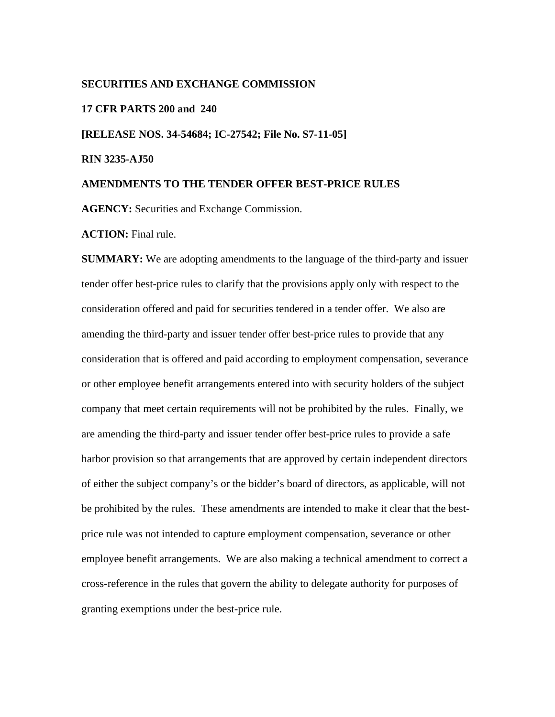#### **SECURITIES AND EXCHANGE COMMISSION**

#### **17 CFR PARTS 200 and 240**

**[RELEASE NOS. 34-54684; IC-27542; File No. S7-11-05]** 

**RIN 3235-AJ50** 

## **AMENDMENTS TO THE TENDER OFFER BEST-PRICE RULES**

**AGENCY:** Securities and Exchange Commission.

**ACTION:** Final rule.

**SUMMARY:** We are adopting amendments to the language of the third-party and issuer tender offer best-price rules to clarify that the provisions apply only with respect to the consideration offered and paid for securities tendered in a tender offer. We also are amending the third-party and issuer tender offer best-price rules to provide that any consideration that is offered and paid according to employment compensation, severance or other employee benefit arrangements entered into with security holders of the subject company that meet certain requirements will not be prohibited by the rules. Finally, we are amending the third-party and issuer tender offer best-price rules to provide a safe harbor provision so that arrangements that are approved by certain independent directors of either the subject company's or the bidder's board of directors, as applicable, will not be prohibited by the rules. These amendments are intended to make it clear that the bestprice rule was not intended to capture employment compensation, severance or other employee benefit arrangements. We are also making a technical amendment to correct a cross-reference in the rules that govern the ability to delegate authority for purposes of granting exemptions under the best-price rule.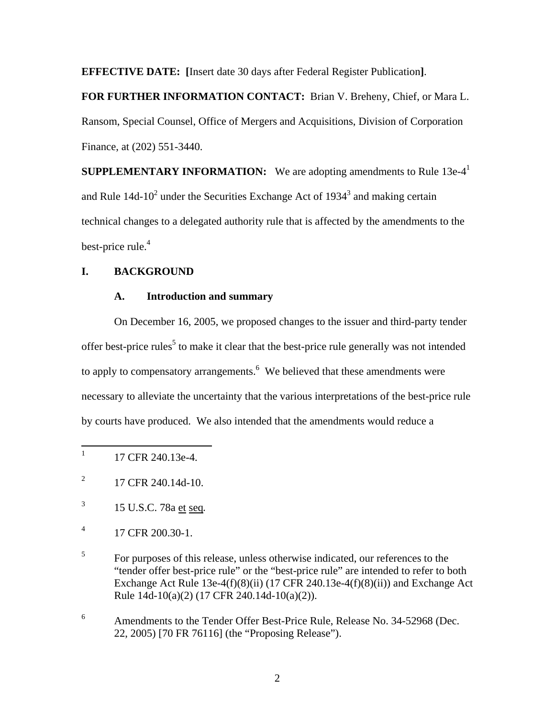**EFFECTIVE DATE: [**Insert date 30 days after Federal Register Publication**]**.

**FOR FURTHER INFORMATION CONTACT:** Brian V. Breheny, Chief, or Mara L. Ransom, Special Counsel, Office of Mergers and Acquisitions, Division of Corporation Finance, at (202) 551-3440.

**SUPPLEMENTARY INFORMATION:** We are adopting amendments to Rule 13e-4<sup>1</sup> and Rule  $14d-10^2$  under the Securities Exchange Act of  $1934^3$  and making certain technical changes to a delegated authority rule that is affected by the amendments to the best-price rule. $4$ 

# **I. BACKGROUND**

## **A. Introduction and summary**

On December 16, 2005, we proposed changes to the issuer and third-party tender offer best-price rules<sup>5</sup> to make it clear that the best-price rule generally was not intended to apply to compensatory arrangements.  $6\,$  We believed that these amendments were necessary to alleviate the uncertainty that the various interpretations of the best-price rule by courts have produced. We also intended that the amendments would reduce a

 $^{1}$  17 CFR 240.13e-4.

 $^{2}$  17 CFR 240.14d-10.

<sup>3 15</sup> U.S.C. 78a et seq*.*

 $^{4}$  17 CFR 200.30-1.

<sup>&</sup>lt;sup>5</sup> For purposes of this release, unless otherwise indicated, our references to the "tender offer best-price rule" or the "best-price rule" are intended to refer to both Exchange Act Rule  $13e^{-4(f)(8)(ii)}$  (17 CFR 240.13e-4(f)(8)(ii)) and Exchange Act Rule 14d-10(a)(2) (17 CFR 240.14d-10(a)(2)).

<sup>&</sup>lt;sup>6</sup> Amendments to the Tender Offer Best-Price Rule, Release No. 34-52968 (Dec. 22, 2005) [70 FR 76116] (the "Proposing Release").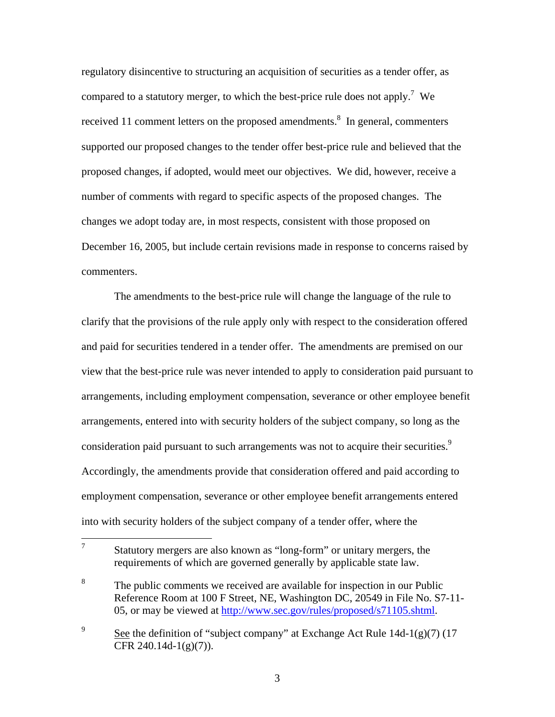regulatory disincentive to structuring an acquisition of securities as a tender offer, as compared to a statutory merger, to which the best-price rule does not apply.<sup>7</sup> We received 11 comment letters on the proposed amendments.<sup>8</sup> In general, commenters supported our proposed changes to the tender offer best-price rule and believed that the proposed changes, if adopted, would meet our objectives. We did, however, receive a number of comments with regard to specific aspects of the proposed changes. The changes we adopt today are, in most respects, consistent with those proposed on December 16, 2005, but include certain revisions made in response to concerns raised by commenters.

The amendments to the best-price rule will change the language of the rule to clarify that the provisions of the rule apply only with respect to the consideration offered and paid for securities tendered in a tender offer. The amendments are premised on our view that the best-price rule was never intended to apply to consideration paid pursuant to arrangements, including employment compensation, severance or other employee benefit arrangements, entered into with security holders of the subject company, so long as the consideration paid pursuant to such arrangements was not to acquire their securities.<sup>9</sup> Accordingly, the amendments provide that consideration offered and paid according to employment compensation, severance or other employee benefit arrangements entered into with security holders of the subject company of a tender offer, where the

 $7 \text{ S}$  Statutory mergers are also known as "long-form" or unitary mergers, the requirements of which are governed generally by applicable state law.

<sup>&</sup>lt;sup>8</sup> The public comments we received are available for inspection in our Public Reference Room at 100 F Street, NE, Washington DC, 20549 in File No. S7-11- 05, or may be viewed at http://www.sec.gov/rules/proposed/s71105.shtml.

<sup>&</sup>lt;sup>9</sup> See the definition of "subject company" at Exchange Act Rule 14d-1(g)(7) (17 CFR 240.14d-1(g)(7)).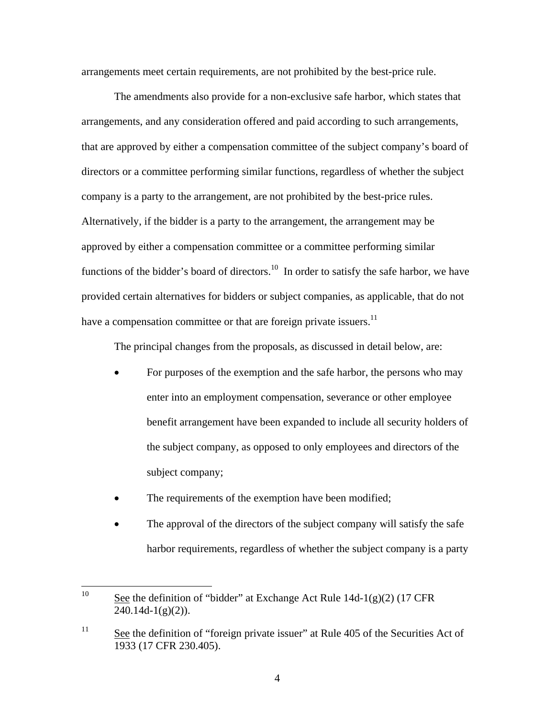arrangements meet certain requirements, are not prohibited by the best-price rule.

The amendments also provide for a non-exclusive safe harbor, which states that arrangements, and any consideration offered and paid according to such arrangements, that are approved by either a compensation committee of the subject company's board of directors or a committee performing similar functions, regardless of whether the subject company is a party to the arrangement, are not prohibited by the best-price rules. Alternatively, if the bidder is a party to the arrangement, the arrangement may be approved by either a compensation committee or a committee performing similar functions of the bidder's board of directors.<sup>10</sup> In order to satisfy the safe harbor, we have provided certain alternatives for bidders or subject companies, as applicable, that do not have a compensation committee or that are foreign private issuers.<sup>11</sup>

The principal changes from the proposals, as discussed in detail below, are:

- For purposes of the exemption and the safe harbor, the persons who may enter into an employment compensation, severance or other employee benefit arrangement have been expanded to include all security holders of the subject company, as opposed to only employees and directors of the subject company;
- The requirements of the exemption have been modified;
- The approval of the directors of the subject company will satisfy the safe harbor requirements, regardless of whether the subject company is a party

<sup>&</sup>lt;sup>10</sup> See the definition of "bidder" at Exchange Act Rule 14d-1(g)(2) (17 CFR  $240.14d-1(g)(2)$ ).

<sup>&</sup>lt;sup>11</sup> See the definition of "foreign private issuer" at Rule 405 of the Securities Act of 1933 (17 CFR 230.405).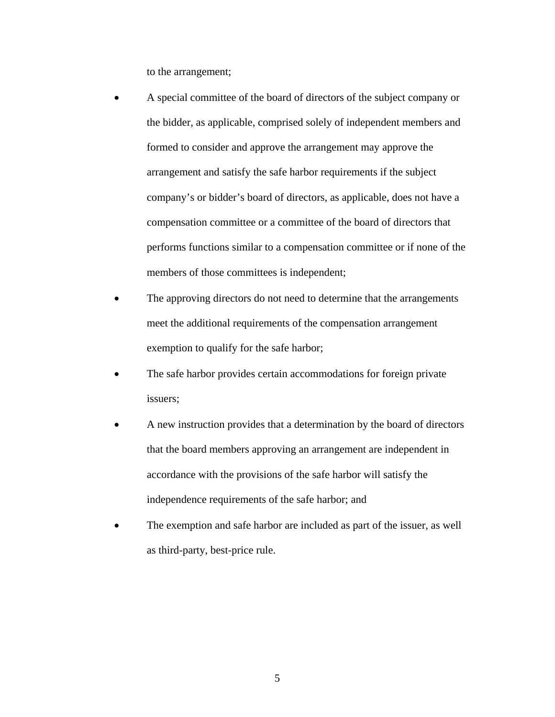to the arrangement;

- A special committee of the board of directors of the subject company or the bidder, as applicable, comprised solely of independent members and formed to consider and approve the arrangement may approve the arrangement and satisfy the safe harbor requirements if the subject company's or bidder's board of directors, as applicable, does not have a compensation committee or a committee of the board of directors that performs functions similar to a compensation committee or if none of the members of those committees is independent;
- The approving directors do not need to determine that the arrangements meet the additional requirements of the compensation arrangement exemption to qualify for the safe harbor;
- The safe harbor provides certain accommodations for foreign private issuers;
- A new instruction provides that a determination by the board of directors that the board members approving an arrangement are independent in accordance with the provisions of the safe harbor will satisfy the independence requirements of the safe harbor; and
- The exemption and safe harbor are included as part of the issuer, as well as third-party, best-price rule.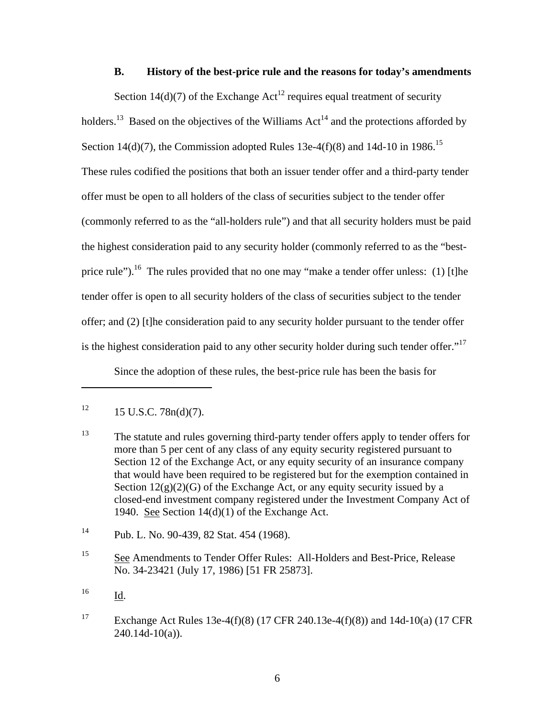### **B. History of the best-price rule and the reasons for today's amendments**

Section 14(d)(7) of the Exchange Act<sup>12</sup> requires equal treatment of security holders.<sup>13</sup> Based on the objectives of the Williams  $Act^{14}$  and the protections afforded by Section 14(d)(7), the Commission adopted Rules 13e-4(f)(8) and 14d-10 in 1986.<sup>15</sup> These rules codified the positions that both an issuer tender offer and a third-party tender offer must be open to all holders of the class of securities subject to the tender offer (commonly referred to as the "all-holders rule") and that all security holders must be paid the highest consideration paid to any security holder (commonly referred to as the "bestprice rule").<sup>16</sup> The rules provided that no one may "make a tender offer unless: (1) [t]he tender offer is open to all security holders of the class of securities subject to the tender offer; and (2) [t]he consideration paid to any security holder pursuant to the tender offer is the highest consideration paid to any other security holder during such tender offer."<sup>17</sup>

Since the adoption of these rules, the best-price rule has been the basis for

 $12 \qquad 15 \text{ U.S.C. } 78n(d)(7).$ 

<sup>&</sup>lt;sup>13</sup> The statute and rules governing third-party tender offers apply to tender offers for more than 5 per cent of any class of any equity security registered pursuant to Section 12 of the Exchange Act, or any equity security of an insurance company that would have been required to be registered but for the exemption contained in Section  $12(g)(2)(G)$  of the Exchange Act, or any equity security issued by a closed-end investment company registered under the Investment Company Act of 1940. See Section 14(d)(1) of the Exchange Act.

<sup>&</sup>lt;sup>14</sup> Pub. L. No. 90-439, 82 Stat. 454 (1968).

<sup>&</sup>lt;sup>15</sup> See Amendments to Tender Offer Rules: All-Holders and Best-Price, Release No. 34-23421 (July 17, 1986) [51 FR 25873].

<sup>16</sup> Id.

<sup>&</sup>lt;sup>17</sup> Exchange Act Rules 13e-4(f)(8) (17 CFR 240.13e-4(f)(8)) and 14d-10(a) (17 CFR  $240.14d-10(a)$ .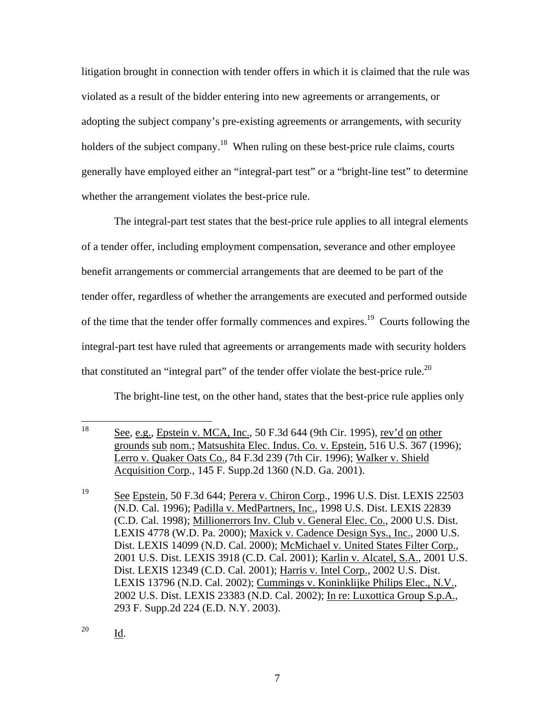litigation brought in connection with tender offers in which it is claimed that the rule was violated as a result of the bidder entering into new agreements or arrangements, or adopting the subject company's pre-existing agreements or arrangements, with security holders of the subject company.<sup>18</sup> When ruling on these best-price rule claims, courts generally have employed either an "integral-part test" or a "bright-line test" to determine whether the arrangement violates the best-price rule.

The integral-part test states that the best-price rule applies to all integral elements of a tender offer, including employment compensation, severance and other employee benefit arrangements or commercial arrangements that are deemed to be part of the tender offer, regardless of whether the arrangements are executed and performed outside of the time that the tender offer formally commences and expires.19 Courts following the integral-part test have ruled that agreements or arrangements made with security holders that constituted an "integral part" of the tender offer violate the best-price rule.<sup>20</sup>

The bright-line test, on the other hand, states that the best-price rule applies only

<sup>&</sup>lt;sup>18</sup> See, e.g., Epstein v. MCA, Inc., 50 F.3d 644 (9th Cir. 1995), rev'd on other grounds sub nom.; Matsushita Elec. Indus. Co. v. Epstein, 516 U.S. 367 (1996); Lerro v. Quaker Oats Co., 84 F.3d 239 (7th Cir. 1996); Walker v. Shield Acquisition Corp*.,* 145 F. Supp.2d 1360 (N.D. Ga. 2001).

<sup>&</sup>lt;sup>19</sup> See Epstein, 50 F.3d 644; Perera v. Chiron Corp., 1996 U.S. Dist. LEXIS 22503 (N.D. Cal. 1996); Padilla v. MedPartners, Inc., 1998 U.S. Dist. LEXIS 22839 (C.D. Cal. 1998); Millionerrors Inv. Club v. General Elec. Co., 2000 U.S. Dist. LEXIS 4778 (W.D. Pa. 2000); Maxick v. Cadence Design Sys., Inc., 2000 U.S. Dist. LEXIS 14099 (N.D. Cal. 2000); McMichael v. United States Filter Corp., 2001 U.S. Dist. LEXIS 3918 (C.D. Cal. 2001); Karlin v. Alcatel, S.A., 2001 U.S. Dist. LEXIS 12349 (C.D. Cal. 2001); Harris v. Intel Corp., 2002 U.S. Dist. LEXIS 13796 (N.D. Cal. 2002); Cummings v. Koninklijke Philips Elec., N.V., 2002 U.S. Dist. LEXIS 23383 (N.D. Cal. 2002); In re: Luxottica Group S.p.A., 293 F. Supp.2d 224 (E.D. N.Y. 2003).

 $^{20}$  Id.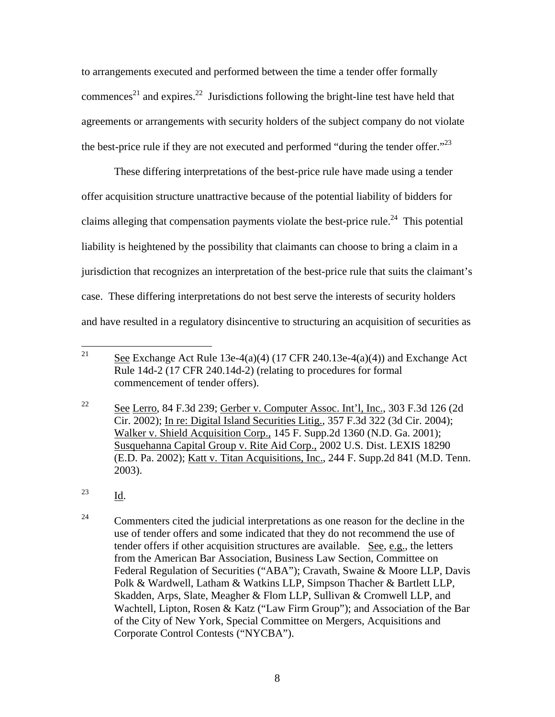to arrangements executed and performed between the time a tender offer formally commences<sup>21</sup> and expires.<sup>22</sup> Jurisdictions following the bright-line test have held that agreements or arrangements with security holders of the subject company do not violate the best-price rule if they are not executed and performed "during the tender offer."<sup>23</sup>

These differing interpretations of the best-price rule have made using a tender offer acquisition structure unattractive because of the potential liability of bidders for claims alleging that compensation payments violate the best-price rule.<sup>24</sup> This potential liability is heightened by the possibility that claimants can choose to bring a claim in a jurisdiction that recognizes an interpretation of the best-price rule that suits the claimant's case. These differing interpretations do not best serve the interests of security holders and have resulted in a regulatory disincentive to structuring an acquisition of securities as

<sup>22</sup> See Lerro, 84 F.3d 239; Gerber v. Computer Assoc. Int'l, Inc., 303 F.3d 126 (2d) Cir. 2002); In re: Digital Island Securities Litig., 357 F.3d 322 (3d Cir. 2004); Walker v. Shield Acquisition Corp., 145 F. Supp.2d 1360 (N.D. Ga. 2001); Susquehanna Capital Group v. Rite Aid Corp., 2002 U.S. Dist. LEXIS 18290 (E.D. Pa. 2002); Katt v. Titan Acquisitions, Inc., 244 F. Supp.2d 841 (M.D. Tenn. 2003).

23 Id.

<sup>&</sup>lt;sup>21</sup> See Exchange Act Rule 13e-4(a)(4) (17 CFR 240.13e-4(a)(4)) and Exchange Act Rule 14d-2 (17 CFR 240.14d-2) (relating to procedures for formal commencement of tender offers).

 $24$  Commenters cited the judicial interpretations as one reason for the decline in the use of tender offers and some indicated that they do not recommend the use of tender offers if other acquisition structures are available. See, e.g., the letters from the American Bar Association, Business Law Section, Committee on Federal Regulation of Securities ("ABA"); Cravath, Swaine & Moore LLP, Davis Polk & Wardwell, Latham & Watkins LLP, Simpson Thacher & Bartlett LLP, Skadden, Arps, Slate, Meagher & Flom LLP, Sullivan & Cromwell LLP, and Wachtell, Lipton, Rosen & Katz ("Law Firm Group"); and Association of the Bar of the City of New York, Special Committee on Mergers, Acquisitions and Corporate Control Contests ("NYCBA").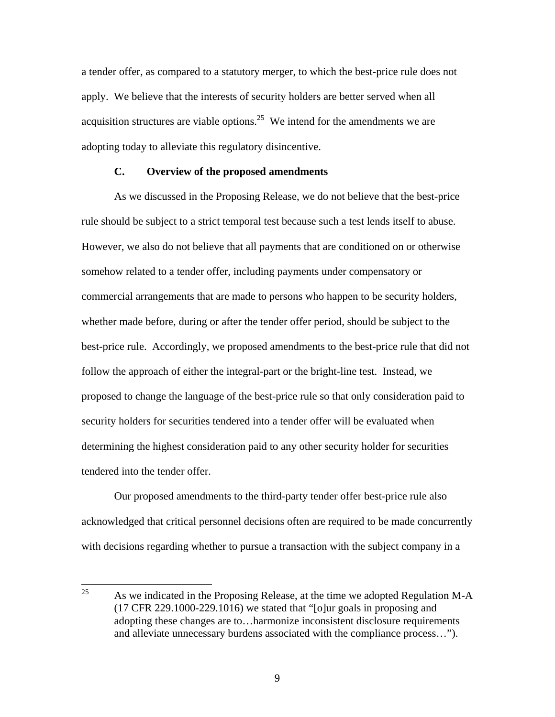a tender offer, as compared to a statutory merger, to which the best-price rule does not apply. We believe that the interests of security holders are better served when all acquisition structures are viable options.<sup>25</sup> We intend for the amendments we are adopting today to alleviate this regulatory disincentive.

# **C. Overview of the proposed amendments**

As we discussed in the Proposing Release, we do not believe that the best-price rule should be subject to a strict temporal test because such a test lends itself to abuse. However, we also do not believe that all payments that are conditioned on or otherwise somehow related to a tender offer, including payments under compensatory or commercial arrangements that are made to persons who happen to be security holders, whether made before, during or after the tender offer period, should be subject to the best-price rule. Accordingly, we proposed amendments to the best-price rule that did not follow the approach of either the integral-part or the bright-line test. Instead, we proposed to change the language of the best-price rule so that only consideration paid to security holders for securities tendered into a tender offer will be evaluated when determining the highest consideration paid to any other security holder for securities tendered into the tender offer.

Our proposed amendments to the third-party tender offer best-price rule also acknowledged that critical personnel decisions often are required to be made concurrently with decisions regarding whether to pursue a transaction with the subject company in a

As we indicated in the Proposing Release, at the time we adopted Regulation M-A (17 CFR 229.1000-229.1016) we stated that "[o]ur goals in proposing and adopting these changes are to…harmonize inconsistent disclosure requirements and alleviate unnecessary burdens associated with the compliance process…"). 25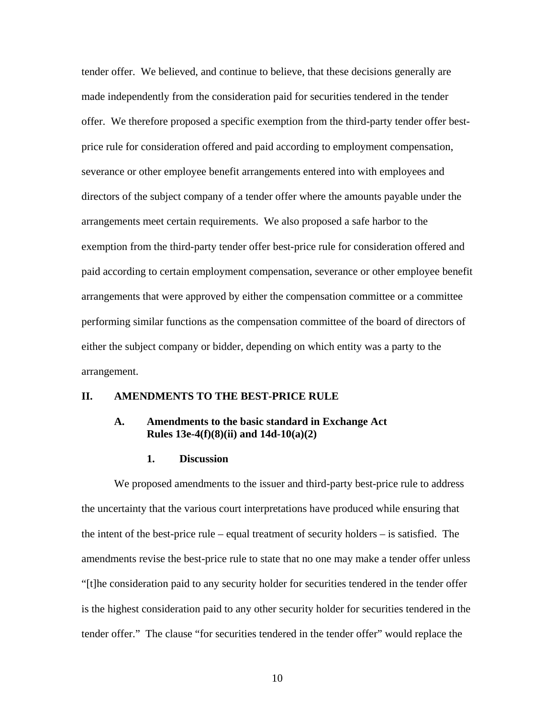tender offer. We believed, and continue to believe, that these decisions generally are made independently from the consideration paid for securities tendered in the tender offer. We therefore proposed a specific exemption from the third-party tender offer bestprice rule for consideration offered and paid according to employment compensation, severance or other employee benefit arrangements entered into with employees and directors of the subject company of a tender offer where the amounts payable under the arrangements meet certain requirements. We also proposed a safe harbor to the exemption from the third-party tender offer best-price rule for consideration offered and paid according to certain employment compensation, severance or other employee benefit arrangements that were approved by either the compensation committee or a committee performing similar functions as the compensation committee of the board of directors of either the subject company or bidder, depending on which entity was a party to the arrangement.

#### **II. AMENDMENTS TO THE BEST-PRICE RULE**

# **A. Amendments to the basic standard in Exchange Act Rules 13e-4(f)(8)(ii) and 14d-10(a)(2)**

## **1. Discussion**

We proposed amendments to the issuer and third-party best-price rule to address the uncertainty that the various court interpretations have produced while ensuring that the intent of the best-price rule – equal treatment of security holders – is satisfied. The amendments revise the best-price rule to state that no one may make a tender offer unless "[t]he consideration paid to any security holder for securities tendered in the tender offer is the highest consideration paid to any other security holder for securities tendered in the tender offer." The clause "for securities tendered in the tender offer" would replace the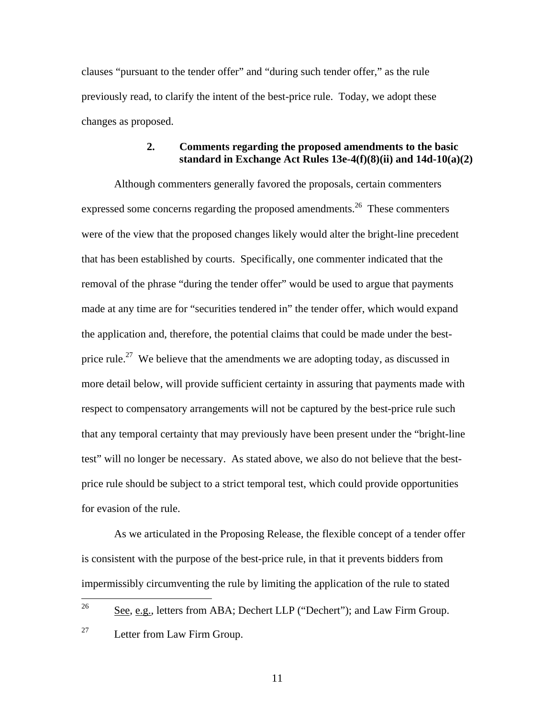clauses "pursuant to the tender offer" and "during such tender offer," as the rule previously read, to clarify the intent of the best-price rule. Today, we adopt these changes as proposed.

# **2. Comments regarding the proposed amendments to the basic standard in Exchange Act Rules 13e-4(f)(8)(ii) and 14d-10(a)(2)**

Although commenters generally favored the proposals, certain commenters expressed some concerns regarding the proposed amendments.<sup>26</sup> These commenters were of the view that the proposed changes likely would alter the bright-line precedent that has been established by courts. Specifically, one commenter indicated that the removal of the phrase "during the tender offer" would be used to argue that payments made at any time are for "securities tendered in" the tender offer, which would expand the application and, therefore, the potential claims that could be made under the bestprice rule.<sup>27</sup> We believe that the amendments we are adopting today, as discussed in more detail below, will provide sufficient certainty in assuring that payments made with respect to compensatory arrangements will not be captured by the best-price rule such that any temporal certainty that may previously have been present under the "bright-line test" will no longer be necessary. As stated above, we also do not believe that the bestprice rule should be subject to a strict temporal test, which could provide opportunities for evasion of the rule.

As we articulated in the Proposing Release, the flexible concept of a tender offer is consistent with the purpose of the best-price rule, in that it prevents bidders from impermissibly circumventing the rule by limiting the application of the rule to stated

# <sup>26</sup> See, e.g., letters from ABA; Dechert LLP ("Dechert"); and Law Firm Group. <sup>27</sup> Letter from Law Firm Group.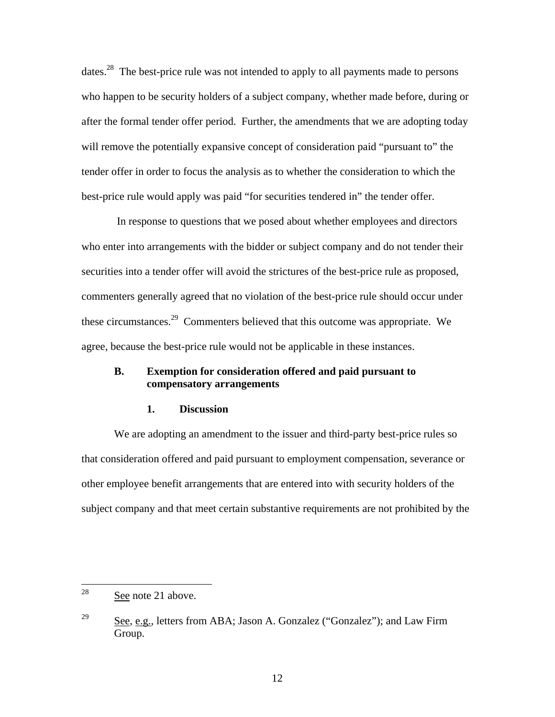dates.<sup>28</sup> The best-price rule was not intended to apply to all payments made to persons who happen to be security holders of a subject company, whether made before, during or after the formal tender offer period. Further, the amendments that we are adopting today will remove the potentially expansive concept of consideration paid "pursuant to" the tender offer in order to focus the analysis as to whether the consideration to which the best-price rule would apply was paid "for securities tendered in" the tender offer.

 In response to questions that we posed about whether employees and directors who enter into arrangements with the bidder or subject company and do not tender their securities into a tender offer will avoid the strictures of the best-price rule as proposed, commenters generally agreed that no violation of the best-price rule should occur under these circumstances.29 Commenters believed that this outcome was appropriate. We agree, because the best-price rule would not be applicable in these instances.

# **B. Exemption for consideration offered and paid pursuant to compensatory arrangements**

## **1. Discussion**

We are adopting an amendment to the issuer and third-party best-price rules so that consideration offered and paid pursuant to employment compensation, severance or other employee benefit arrangements that are entered into with security holders of the subject company and that meet certain substantive requirements are not prohibited by the

<sup>&</sup>lt;sup>28</sup> See note 21 above.

 $\frac{29}{2}$  See, e.g., letters from ABA; Jason A. Gonzalez ("Gonzalez"); and Law Firm Group.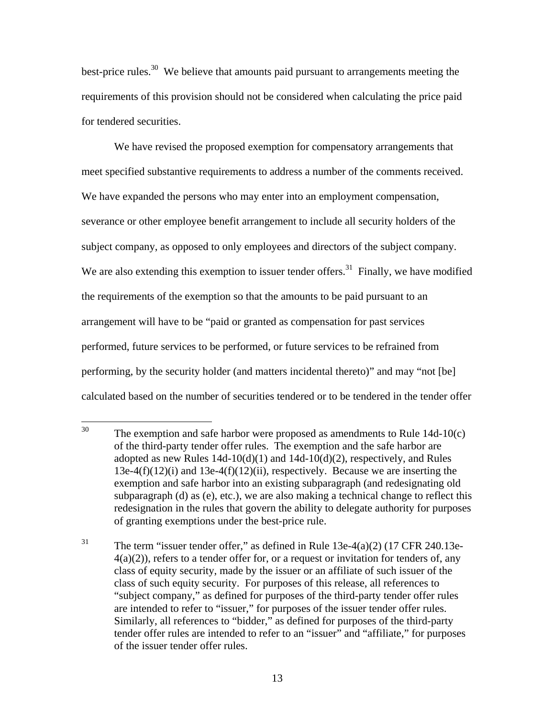best-price rules.<sup>30</sup> We believe that amounts paid pursuant to arrangements meeting the requirements of this provision should not be considered when calculating the price paid for tendered securities.

We have revised the proposed exemption for compensatory arrangements that meet specified substantive requirements to address a number of the comments received. We have expanded the persons who may enter into an employment compensation, severance or other employee benefit arrangement to include all security holders of the subject company, as opposed to only employees and directors of the subject company. We are also extending this exemption to issuer tender offers.<sup>31</sup> Finally, we have modified the requirements of the exemption so that the amounts to be paid pursuant to an arrangement will have to be "paid or granted as compensation for past services performed, future services to be performed, or future services to be refrained from performing, by the security holder (and matters incidental thereto)" and may "not [be] calculated based on the number of securities tendered or to be tendered in the tender offer

<sup>&</sup>lt;sup>30</sup> The exemption and safe harbor were proposed as amendments to Rule  $14d-10(c)$ of the third-party tender offer rules. The exemption and the safe harbor are adopted as new Rules  $14d-10(d)(1)$  and  $14d-10(d)(2)$ , respectively, and Rules 13e-4(f)(12)(i) and 13e-4(f)(12)(ii), respectively. Because we are inserting the exemption and safe harbor into an existing subparagraph (and redesignating old subparagraph (d) as (e), etc.), we are also making a technical change to reflect this redesignation in the rules that govern the ability to delegate authority for purposes of granting exemptions under the best-price rule.

<sup>&</sup>lt;sup>31</sup> The term "issuer tender offer," as defined in Rule 13e-4(a)(2) (17 CFR 240.13e- $4(a)(2)$ ), refers to a tender offer for, or a request or invitation for tenders of, any class of equity security, made by the issuer or an affiliate of such issuer of the class of such equity security. For purposes of this release, all references to "subject company," as defined for purposes of the third-party tender offer rules are intended to refer to "issuer," for purposes of the issuer tender offer rules. Similarly, all references to "bidder," as defined for purposes of the third-party tender offer rules are intended to refer to an "issuer" and "affiliate," for purposes of the issuer tender offer rules.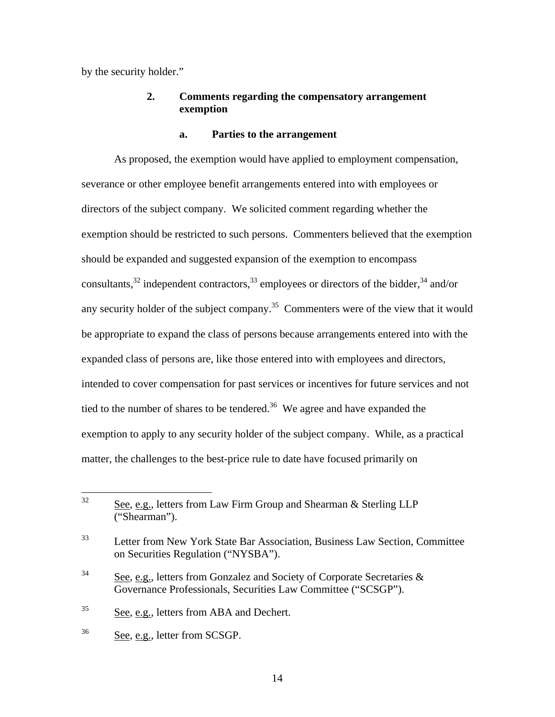by the security holder."

# **2. Comments regarding the compensatory arrangement exemption**

## **a. Parties to the arrangement**

As proposed, the exemption would have applied to employment compensation, severance or other employee benefit arrangements entered into with employees or directors of the subject company. We solicited comment regarding whether the exemption should be restricted to such persons. Commenters believed that the exemption should be expanded and suggested expansion of the exemption to encompass consultants,<sup>32</sup> independent contractors,<sup>33</sup> employees or directors of the bidder,<sup>34</sup> and/or any security holder of the subject company.<sup>35</sup> Commenters were of the view that it would be appropriate to expand the class of persons because arrangements entered into with the expanded class of persons are, like those entered into with employees and directors, intended to cover compensation for past services or incentives for future services and not tied to the number of shares to be tendered.<sup>36</sup> We agree and have expanded the exemption to apply to any security holder of the subject company. While, as a practical matter, the challenges to the best-price rule to date have focused primarily on

 $35$  See, e.g., letters from ABA and Dechert.

<sup>&</sup>lt;sup>32</sup> See, e.g., letters from Law Firm Group and Shearman & Sterling LLP ("Shearman").

<sup>33</sup> Letter from New York State Bar Association, Business Law Section, Committee on Securities Regulation ("NYSBA").

<sup>&</sup>lt;sup>34</sup> See, e.g., letters from Gonzalez and Society of Corporate Secretaries  $\&$ Governance Professionals, Securities Law Committee ("SCSGP").

 $36$  See, e.g., letter from SCSGP.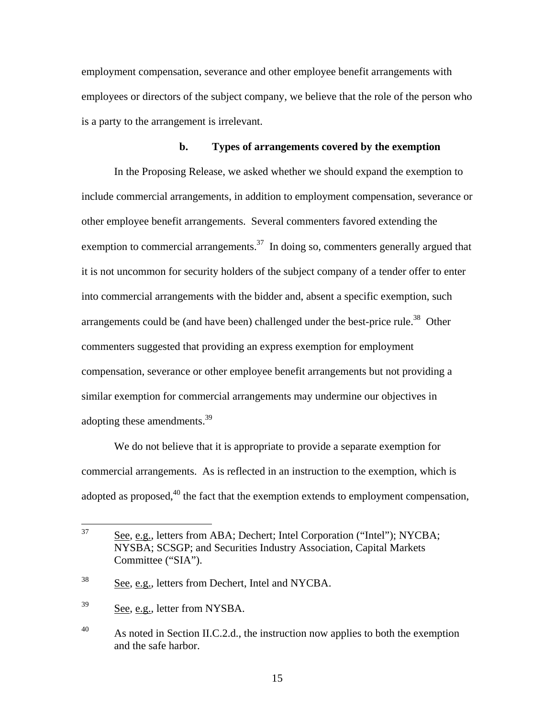employment compensation, severance and other employee benefit arrangements with employees or directors of the subject company, we believe that the role of the person who is a party to the arrangement is irrelevant.

#### **b. Types of arrangements covered by the exemption**

In the Proposing Release, we asked whether we should expand the exemption to include commercial arrangements, in addition to employment compensation, severance or other employee benefit arrangements. Several commenters favored extending the exemption to commercial arrangements.<sup>37</sup> In doing so, commenters generally argued that it is not uncommon for security holders of the subject company of a tender offer to enter into commercial arrangements with the bidder and, absent a specific exemption, such arrangements could be (and have been) challenged under the best-price rule.<sup>38</sup> Other commenters suggested that providing an express exemption for employment compensation, severance or other employee benefit arrangements but not providing a similar exemption for commercial arrangements may undermine our objectives in adopting these amendments.<sup>39</sup>

We do not believe that it is appropriate to provide a separate exemption for commercial arrangements. As is reflected in an instruction to the exemption, which is adopted as proposed, $40$  the fact that the exemption extends to employment compensation,

<sup>37</sup> See, e.g., letters from ABA; Dechert; Intel Corporation ("Intel"); NYCBA; NYSBA; SCSGP; and Securities Industry Association, Capital Markets Committee ("SIA").

<sup>38</sup> See, e.g., letters from Dechert, Intel and NYCBA.

<sup>&</sup>lt;sup>39</sup> See, e.g., letter from NYSBA.

<sup>&</sup>lt;sup>40</sup> As noted in Section II.C.2.d., the instruction now applies to both the exemption and the safe harbor.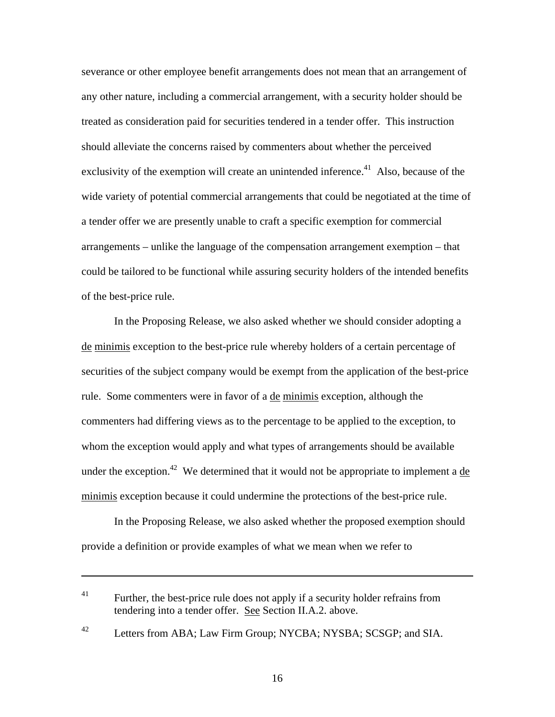severance or other employee benefit arrangements does not mean that an arrangement of any other nature, including a commercial arrangement, with a security holder should be treated as consideration paid for securities tendered in a tender offer. This instruction should alleviate the concerns raised by commenters about whether the perceived exclusivity of the exemption will create an unintended inference.<sup>41</sup> Also, because of the wide variety of potential commercial arrangements that could be negotiated at the time of a tender offer we are presently unable to craft a specific exemption for commercial arrangements – unlike the language of the compensation arrangement exemption – that could be tailored to be functional while assuring security holders of the intended benefits of the best-price rule.

In the Proposing Release, we also asked whether we should consider adopting a de minimis exception to the best-price rule whereby holders of a certain percentage of securities of the subject company would be exempt from the application of the best-price rule. Some commenters were in favor of a <u>de minimis</u> exception, although the commenters had differing views as to the percentage to be applied to the exception, to whom the exception would apply and what types of arrangements should be available under the exception.<sup>42</sup> We determined that it would not be appropriate to implement a de minimis exception because it could undermine the protections of the best-price rule.

In the Proposing Release, we also asked whether the proposed exemption should provide a definition or provide examples of what we mean when we refer to

 $41$  Further, the best-price rule does not apply if a security holder refrains from tendering into a tender offer. See Section II.A.2. above.

<sup>&</sup>lt;sup>42</sup> Letters from ABA; Law Firm Group; NYCBA; NYSBA; SCSGP; and SIA.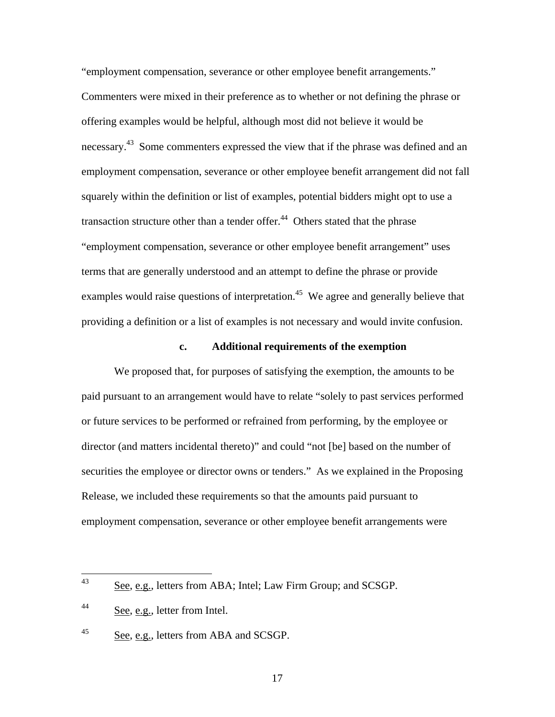"employment compensation, severance or other employee benefit arrangements." Commenters were mixed in their preference as to whether or not defining the phrase or offering examples would be helpful, although most did not believe it would be necessary.43 Some commenters expressed the view that if the phrase was defined and an employment compensation, severance or other employee benefit arrangement did not fall squarely within the definition or list of examples, potential bidders might opt to use a transaction structure other than a tender offer.<sup>44</sup> Others stated that the phrase "employment compensation, severance or other employee benefit arrangement" uses terms that are generally understood and an attempt to define the phrase or provide examples would raise questions of interpretation.<sup>45</sup> We agree and generally believe that providing a definition or a list of examples is not necessary and would invite confusion.

## **c. Additional requirements of the exemption**

We proposed that, for purposes of satisfying the exemption, the amounts to be paid pursuant to an arrangement would have to relate "solely to past services performed or future services to be performed or refrained from performing, by the employee or director (and matters incidental thereto)" and could "not [be] based on the number of securities the employee or director owns or tenders." As we explained in the Proposing Release, we included these requirements so that the amounts paid pursuant to employment compensation, severance or other employee benefit arrangements were

<sup>43</sup> See, e.g., letters from ABA; Intel; Law Firm Group; and SCSGP.

<sup>44</sup> See, e.g., letter from Intel.

 $\frac{45}{25}$  See, e.g., letters from ABA and SCSGP.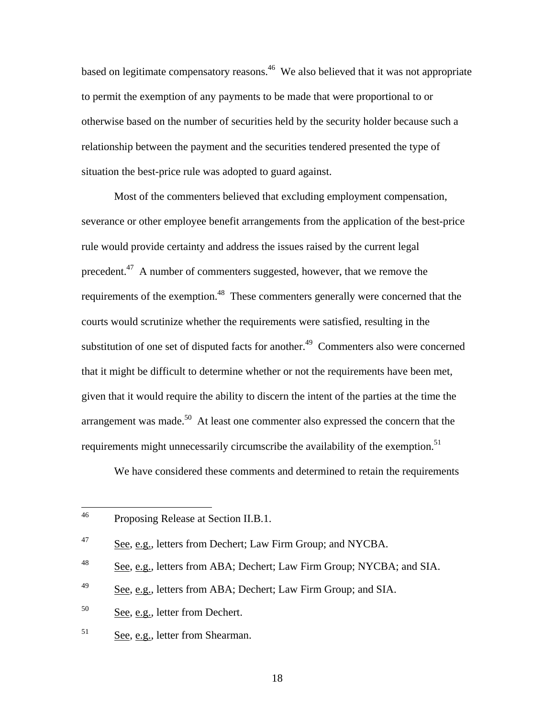based on legitimate compensatory reasons.<sup>46</sup> We also believed that it was not appropriate to permit the exemption of any payments to be made that were proportional to or otherwise based on the number of securities held by the security holder because such a relationship between the payment and the securities tendered presented the type of situation the best-price rule was adopted to guard against.

Most of the commenters believed that excluding employment compensation, severance or other employee benefit arrangements from the application of the best-price rule would provide certainty and address the issues raised by the current legal precedent.<sup>47</sup> A number of commenters suggested, however, that we remove the requirements of the exemption.<sup>48</sup> These commenters generally were concerned that the courts would scrutinize whether the requirements were satisfied, resulting in the substitution of one set of disputed facts for another.<sup>49</sup> Commenters also were concerned that it might be difficult to determine whether or not the requirements have been met, given that it would require the ability to discern the intent of the parties at the time the arrangement was made.<sup>50</sup> At least one commenter also expressed the concern that the requirements might unnecessarily circumscribe the availability of the exemption.<sup>51</sup>

We have considered these comments and determined to retain the requirements

<sup>46</sup> Proposing Release at Section II.B.1.

<sup>&</sup>lt;sup>47</sup> See, e.g., letters from Dechert; Law Firm Group; and NYCBA.

<sup>&</sup>lt;sup>48</sup> See, e.g., letters from ABA; Dechert; Law Firm Group; NYCBA; and SIA.

<sup>&</sup>lt;sup>49</sup> See, e.g., letters from ABA; Dechert; Law Firm Group; and SIA.

 $50$  See, e.g., letter from Dechert.

<sup>&</sup>lt;sup>51</sup> See, e.g., letter from Shearman.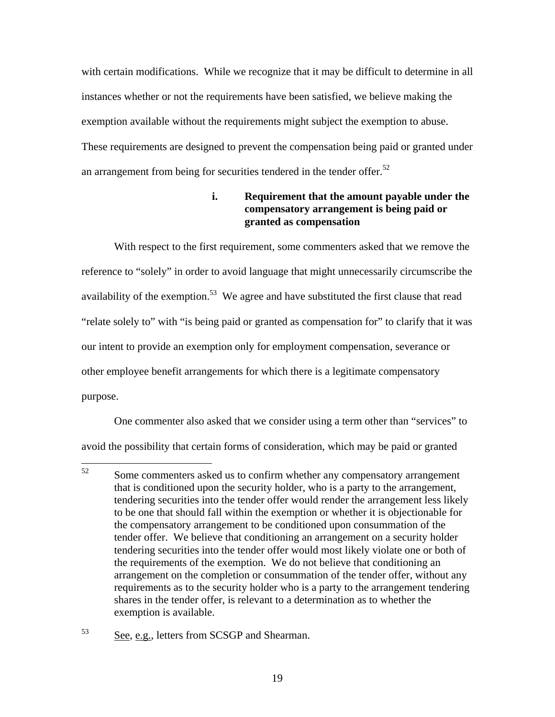with certain modifications. While we recognize that it may be difficult to determine in all instances whether or not the requirements have been satisfied, we believe making the exemption available without the requirements might subject the exemption to abuse. These requirements are designed to prevent the compensation being paid or granted under an arrangement from being for securities tendered in the tender offer. $52$ 

# **i. Requirement that the amount payable under the compensatory arrangement is being paid or granted as compensation**

With respect to the first requirement, some commenters asked that we remove the reference to "solely" in order to avoid language that might unnecessarily circumscribe the availability of the exemption.<sup>53</sup> We agree and have substituted the first clause that read "relate solely to" with "is being paid or granted as compensation for" to clarify that it was our intent to provide an exemption only for employment compensation, severance or other employee benefit arrangements for which there is a legitimate compensatory purpose.

One commenter also asked that we consider using a term other than "services" to avoid the possibility that certain forms of consideration, which may be paid or granted

 $52$  Some commenters asked us to confirm whether any compensatory arrangement that is conditioned upon the security holder, who is a party to the arrangement, tendering securities into the tender offer would render the arrangement less likely to be one that should fall within the exemption or whether it is objectionable for the compensatory arrangement to be conditioned upon consummation of the tender offer. We believe that conditioning an arrangement on a security holder tendering securities into the tender offer would most likely violate one or both of the requirements of the exemption. We do not believe that conditioning an arrangement on the completion or consummation of the tender offer, without any requirements as to the security holder who is a party to the arrangement tendering shares in the tender offer, is relevant to a determination as to whether the exemption is available.

<sup>&</sup>lt;sup>53</sup> See, e.g., letters from SCSGP and Shearman.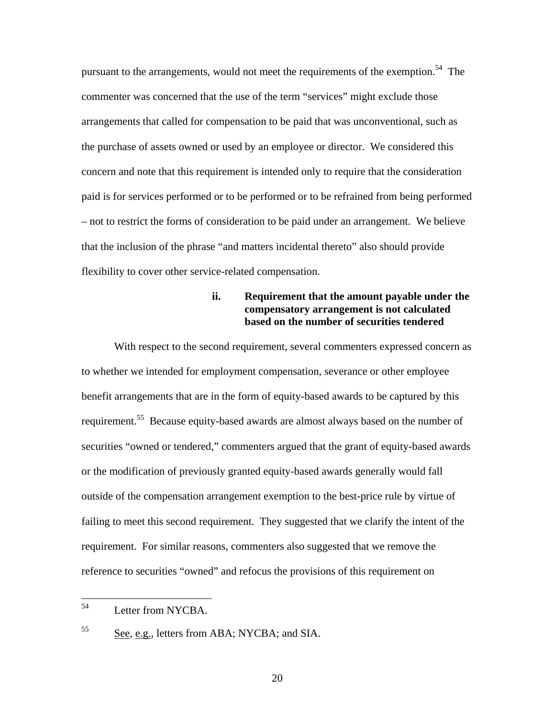pursuant to the arrangements, would not meet the requirements of the exemption.<sup>54</sup> The commenter was concerned that the use of the term "services" might exclude those arrangements that called for compensation to be paid that was unconventional, such as the purchase of assets owned or used by an employee or director. We considered this concern and note that this requirement is intended only to require that the consideration paid is for services performed or to be performed or to be refrained from being performed – not to restrict the forms of consideration to be paid under an arrangement. We believe that the inclusion of the phrase "and matters incidental thereto" also should provide flexibility to cover other service-related compensation.

# **ii. Requirement that the amount payable under the compensatory arrangement is not calculated based on the number of securities tendered**

With respect to the second requirement, several commenters expressed concern as to whether we intended for employment compensation, severance or other employee benefit arrangements that are in the form of equity-based awards to be captured by this requirement.<sup>55</sup> Because equity-based awards are almost always based on the number of securities "owned or tendered," commenters argued that the grant of equity-based awards or the modification of previously granted equity-based awards generally would fall outside of the compensation arrangement exemption to the best-price rule by virtue of failing to meet this second requirement. They suggested that we clarify the intent of the requirement. For similar reasons, commenters also suggested that we remove the reference to securities "owned" and refocus the provisions of this requirement on

<sup>&</sup>lt;sup>54</sup> Letter from NYCBA

 $55$  See, e.g., letters from ABA; NYCBA; and SIA.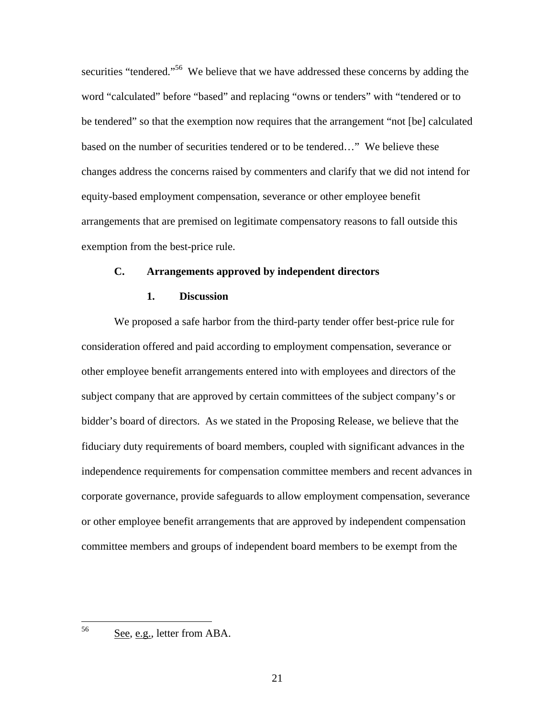securities "tendered."<sup>56</sup> We believe that we have addressed these concerns by adding the word "calculated" before "based" and replacing "owns or tenders" with "tendered or to be tendered" so that the exemption now requires that the arrangement "not [be] calculated based on the number of securities tendered or to be tendered…" We believe these changes address the concerns raised by commenters and clarify that we did not intend for equity-based employment compensation, severance or other employee benefit arrangements that are premised on legitimate compensatory reasons to fall outside this exemption from the best-price rule.

## **C. Arrangements approved by independent directors**

# **1. Discussion**

We proposed a safe harbor from the third-party tender offer best-price rule for consideration offered and paid according to employment compensation, severance or other employee benefit arrangements entered into with employees and directors of the subject company that are approved by certain committees of the subject company's or bidder's board of directors. As we stated in the Proposing Release, we believe that the fiduciary duty requirements of board members, coupled with significant advances in the independence requirements for compensation committee members and recent advances in corporate governance, provide safeguards to allow employment compensation, severance or other employee benefit arrangements that are approved by independent compensation committee members and groups of independent board members to be exempt from the

See, e.g., letter from ABA.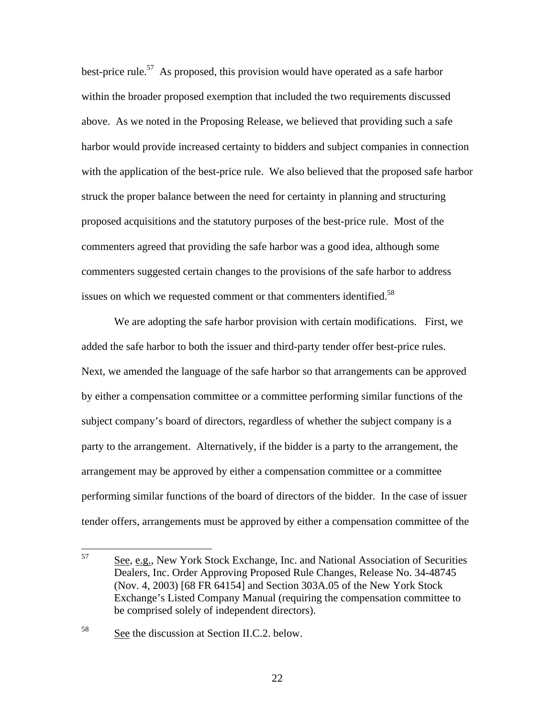best-price rule.<sup>57</sup> As proposed, this provision would have operated as a safe harbor within the broader proposed exemption that included the two requirements discussed above. As we noted in the Proposing Release, we believed that providing such a safe harbor would provide increased certainty to bidders and subject companies in connection with the application of the best-price rule. We also believed that the proposed safe harbor struck the proper balance between the need for certainty in planning and structuring proposed acquisitions and the statutory purposes of the best-price rule. Most of the commenters agreed that providing the safe harbor was a good idea, although some commenters suggested certain changes to the provisions of the safe harbor to address issues on which we requested comment or that commenters identified.<sup>58</sup>

We are adopting the safe harbor provision with certain modifications. First, we added the safe harbor to both the issuer and third-party tender offer best-price rules. Next, we amended the language of the safe harbor so that arrangements can be approved by either a compensation committee or a committee performing similar functions of the subject company's board of directors, regardless of whether the subject company is a party to the arrangement. Alternatively, if the bidder is a party to the arrangement, the arrangement may be approved by either a compensation committee or a committee performing similar functions of the board of directors of the bidder. In the case of issuer tender offers, arrangements must be approved by either a compensation committee of the

<sup>57</sup> See, e.g., New York Stock Exchange, Inc. and National Association of Securities Dealers, Inc. Order Approving Proposed Rule Changes, Release No. 34-48745 (Nov. 4, 2003) [68 FR 64154] and Section 303A.05 of the New York Stock Exchange's Listed Company Manual (requiring the compensation committee to be comprised solely of independent directors).

<sup>58</sup> See the discussion at Section II.C.2. below.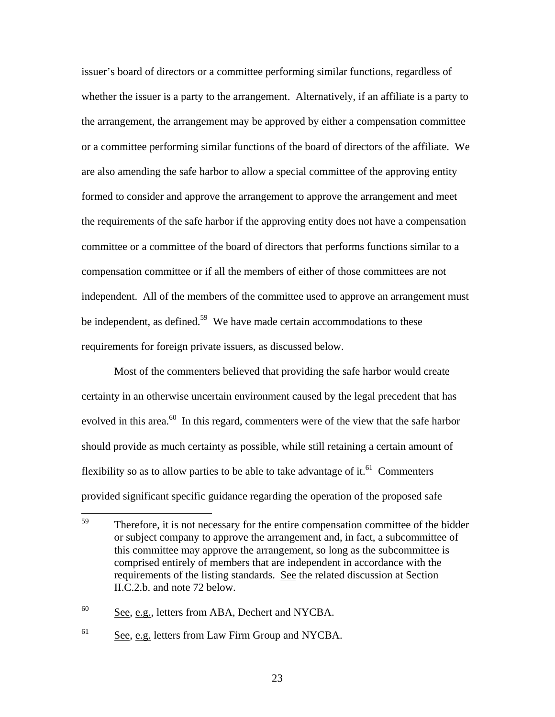issuer's board of directors or a committee performing similar functions, regardless of whether the issuer is a party to the arrangement. Alternatively, if an affiliate is a party to the arrangement, the arrangement may be approved by either a compensation committee or a committee performing similar functions of the board of directors of the affiliate. We are also amending the safe harbor to allow a special committee of the approving entity formed to consider and approve the arrangement to approve the arrangement and meet the requirements of the safe harbor if the approving entity does not have a compensation committee or a committee of the board of directors that performs functions similar to a compensation committee or if all the members of either of those committees are not independent. All of the members of the committee used to approve an arrangement must be independent, as defined.<sup>59</sup> We have made certain accommodations to these requirements for foreign private issuers, as discussed below.

Most of the commenters believed that providing the safe harbor would create certainty in an otherwise uncertain environment caused by the legal precedent that has evolved in this area.<sup>60</sup> In this regard, commenters were of the view that the safe harbor should provide as much certainty as possible, while still retaining a certain amount of flexibility so as to allow parties to be able to take advantage of it.<sup>61</sup> Commenters provided significant specific guidance regarding the operation of the proposed safe

<sup>&</sup>lt;sup>59</sup> Therefore, it is not necessary for the entire compensation committee of the bidder or subject company to approve the arrangement and, in fact, a subcommittee of this committee may approve the arrangement, so long as the subcommittee is comprised entirely of members that are independent in accordance with the requirements of the listing standards. See the related discussion at Section II.C.2.b. and note 72 below.

<sup>60</sup> See, e.g., letters from ABA, Dechert and NYCBA.

 $^{61}$  See, e.g. letters from Law Firm Group and NYCBA.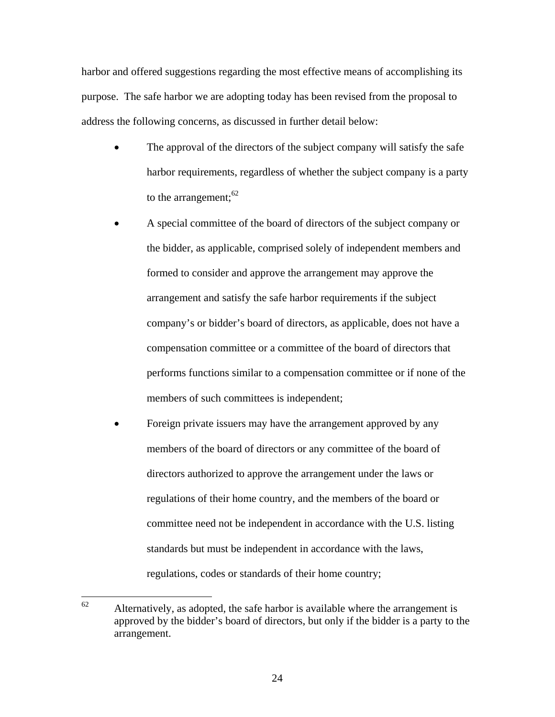harbor and offered suggestions regarding the most effective means of accomplishing its purpose. The safe harbor we are adopting today has been revised from the proposal to address the following concerns, as discussed in further detail below:

- The approval of the directors of the subject company will satisfy the safe harbor requirements, regardless of whether the subject company is a party to the arrangement; $62$
- A special committee of the board of directors of the subject company or the bidder, as applicable, comprised solely of independent members and formed to consider and approve the arrangement may approve the arrangement and satisfy the safe harbor requirements if the subject company's or bidder's board of directors, as applicable, does not have a compensation committee or a committee of the board of directors that performs functions similar to a compensation committee or if none of the members of such committees is independent;
- Foreign private issuers may have the arrangement approved by any members of the board of directors or any committee of the board of directors authorized to approve the arrangement under the laws or regulations of their home country, and the members of the board or committee need not be independent in accordance with the U.S. listing standards but must be independent in accordance with the laws, regulations, codes or standards of their home country;

Alternatively, as adopted, the safe harbor is available where the arrangement is approved by the bidder's board of directors, but only if the bidder is a party to the arrangement. 62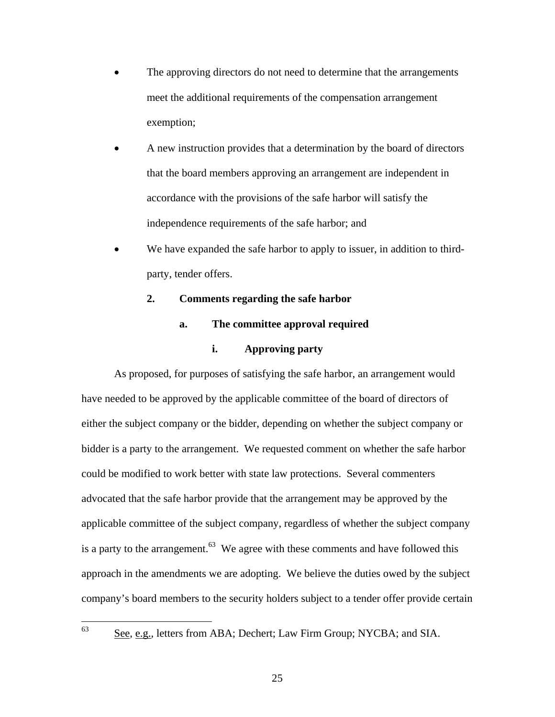- The approving directors do not need to determine that the arrangements meet the additional requirements of the compensation arrangement exemption;
- A new instruction provides that a determination by the board of directors that the board members approving an arrangement are independent in accordance with the provisions of the safe harbor will satisfy the independence requirements of the safe harbor; and
- We have expanded the safe harbor to apply to issuer, in addition to thirdparty, tender offers.

## **2. Comments regarding the safe harbor**

# **a. The committee approval required**

# **i. Approving party**

As proposed, for purposes of satisfying the safe harbor, an arrangement would have needed to be approved by the applicable committee of the board of directors of either the subject company or the bidder, depending on whether the subject company or bidder is a party to the arrangement. We requested comment on whether the safe harbor could be modified to work better with state law protections. Several commenters advocated that the safe harbor provide that the arrangement may be approved by the applicable committee of the subject company, regardless of whether the subject company is a party to the arrangement.<sup>63</sup> We agree with these comments and have followed this approach in the amendments we are adopting. We believe the duties owed by the subject company's board members to the security holders subject to a tender offer provide certain

See, e.g., letters from ABA; Dechert; Law Firm Group; NYCBA; and SIA.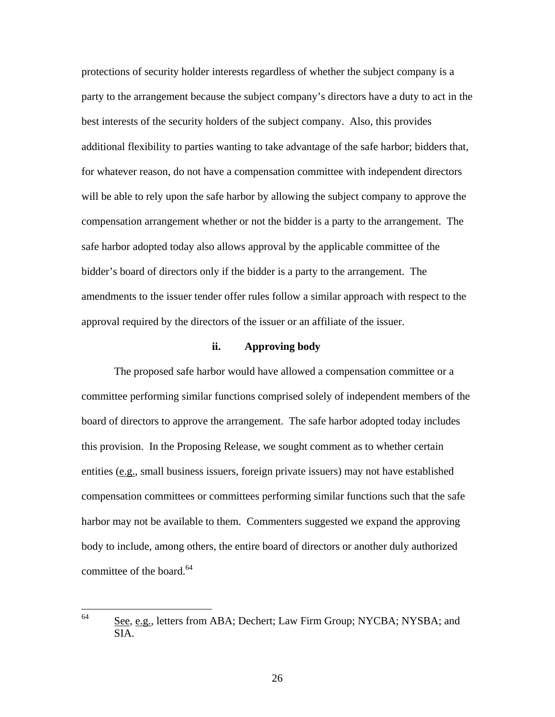protections of security holder interests regardless of whether the subject company is a party to the arrangement because the subject company's directors have a duty to act in the best interests of the security holders of the subject company. Also, this provides additional flexibility to parties wanting to take advantage of the safe harbor; bidders that, for whatever reason, do not have a compensation committee with independent directors will be able to rely upon the safe harbor by allowing the subject company to approve the compensation arrangement whether or not the bidder is a party to the arrangement. The safe harbor adopted today also allows approval by the applicable committee of the bidder's board of directors only if the bidder is a party to the arrangement. The amendments to the issuer tender offer rules follow a similar approach with respect to the approval required by the directors of the issuer or an affiliate of the issuer.

## **ii. Approving body**

The proposed safe harbor would have allowed a compensation committee or a committee performing similar functions comprised solely of independent members of the board of directors to approve the arrangement. The safe harbor adopted today includes this provision. In the Proposing Release, we sought comment as to whether certain entities (e.g., small business issuers, foreign private issuers) may not have established compensation committees or committees performing similar functions such that the safe harbor may not be available to them. Commenters suggested we expand the approving body to include, among others, the entire board of directors or another duly authorized committee of the board.<sup>64</sup>

See, e.g., letters from ABA; Dechert; Law Firm Group; NYCBA; NYSBA; and SIA. 64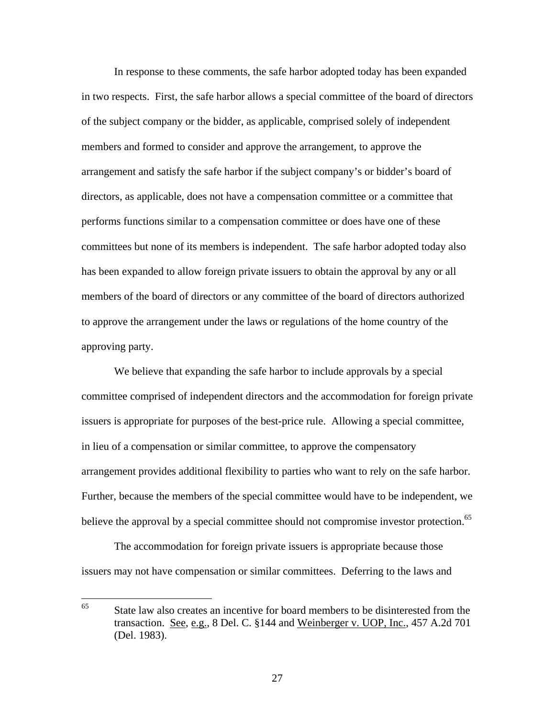In response to these comments, the safe harbor adopted today has been expanded in two respects. First, the safe harbor allows a special committee of the board of directors of the subject company or the bidder, as applicable, comprised solely of independent members and formed to consider and approve the arrangement, to approve the arrangement and satisfy the safe harbor if the subject company's or bidder's board of directors, as applicable, does not have a compensation committee or a committee that performs functions similar to a compensation committee or does have one of these committees but none of its members is independent. The safe harbor adopted today also has been expanded to allow foreign private issuers to obtain the approval by any or all members of the board of directors or any committee of the board of directors authorized to approve the arrangement under the laws or regulations of the home country of the approving party.

We believe that expanding the safe harbor to include approvals by a special committee comprised of independent directors and the accommodation for foreign private issuers is appropriate for purposes of the best-price rule. Allowing a special committee, in lieu of a compensation or similar committee, to approve the compensatory arrangement provides additional flexibility to parties who want to rely on the safe harbor. Further, because the members of the special committee would have to be independent, we believe the approval by a special committee should not compromise investor protection.<sup>65</sup>

The accommodation for foreign private issuers is appropriate because those issuers may not have compensation or similar committees. Deferring to the laws and

State law also creates an incentive for board members to be disinterested from the transaction. See, e.g., 8 Del. C. §144 and Weinberger v. UOP, Inc., 457 A.2d 701 (Del. 1983). 65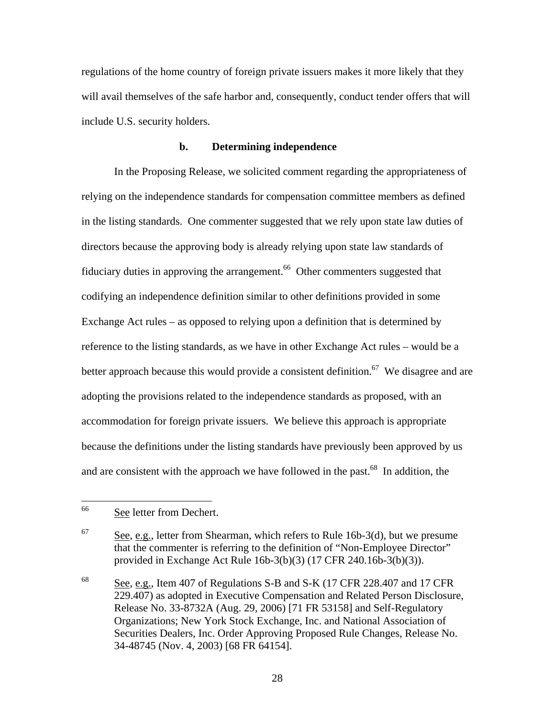regulations of the home country of foreign private issuers makes it more likely that they will avail themselves of the safe harbor and, consequently, conduct tender offers that will include U.S. security holders.

## **b. Determining independence**

In the Proposing Release, we solicited comment regarding the appropriateness of relying on the independence standards for compensation committee members as defined in the listing standards. One commenter suggested that we rely upon state law duties of directors because the approving body is already relying upon state law standards of fiduciary duties in approving the arrangement.<sup>66</sup> Other commenters suggested that codifying an independence definition similar to other definitions provided in some Exchange Act rules – as opposed to relying upon a definition that is determined by reference to the listing standards, as we have in other Exchange Act rules – would be a better approach because this would provide a consistent definition.<sup>67</sup> We disagree and are adopting the provisions related to the independence standards as proposed, with an accommodation for foreign private issuers. We believe this approach is appropriate because the definitions under the listing standards have previously been approved by us and are consistent with the approach we have followed in the past.<sup>68</sup> In addition, the

<sup>&</sup>lt;sup>66</sup> See letter from Dechert.

 $67$  See, e.g., letter from Shearman, which refers to Rule 16b-3(d), but we presume that the commenter is referring to the definition of "Non-Employee Director" provided in Exchange Act Rule 16b-3(b)(3) (17 CFR 240.16b-3(b)(3)).

<sup>68</sup> See, e.g., Item 407 of Regulations S-B and S-K (17 CFR 228.407 and 17 CFR 229.407) as adopted in Executive Compensation and Related Person Disclosure, Release No. 33-8732A (Aug. 29, 2006) [71 FR 53158] and Self-Regulatory Organizations; New York Stock Exchange, Inc. and National Association of Securities Dealers, Inc. Order Approving Proposed Rule Changes, Release No. 34-48745 (Nov. 4, 2003) [68 FR 64154].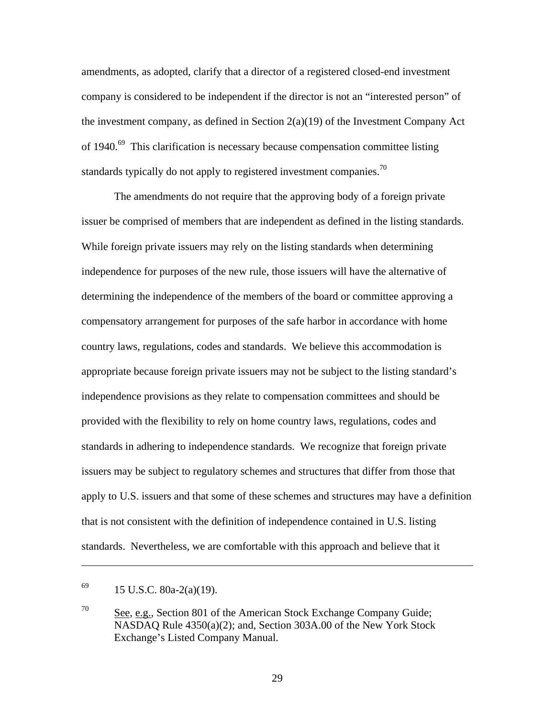amendments, as adopted, clarify that a director of a registered closed-end investment company is considered to be independent if the director is not an "interested person" of the investment company, as defined in Section 2(a)(19) of the Investment Company Act of 1940.<sup>69</sup> This clarification is necessary because compensation committee listing standards typically do not apply to registered investment companies.<sup>70</sup>

The amendments do not require that the approving body of a foreign private issuer be comprised of members that are independent as defined in the listing standards. While foreign private issuers may rely on the listing standards when determining independence for purposes of the new rule, those issuers will have the alternative of determining the independence of the members of the board or committee approving a compensatory arrangement for purposes of the safe harbor in accordance with home country laws, regulations, codes and standards. We believe this accommodation is appropriate because foreign private issuers may not be subject to the listing standard's independence provisions as they relate to compensation committees and should be provided with the flexibility to rely on home country laws, regulations, codes and standards in adhering to independence standards. We recognize that foreign private issuers may be subject to regulatory schemes and structures that differ from those that apply to U.S. issuers and that some of these schemes and structures may have a definition that is not consistent with the definition of independence contained in U.S. listing standards. Nevertheless, we are comfortable with this approach and believe that it

 $^{69}$  15 U.S.C. 80a-2(a)(19).

 $70$  See, e.g., Section 801 of the American Stock Exchange Company Guide; NASDAQ Rule 4350(a)(2); and, Section 303A.00 of the New York Stock Exchange's Listed Company Manual.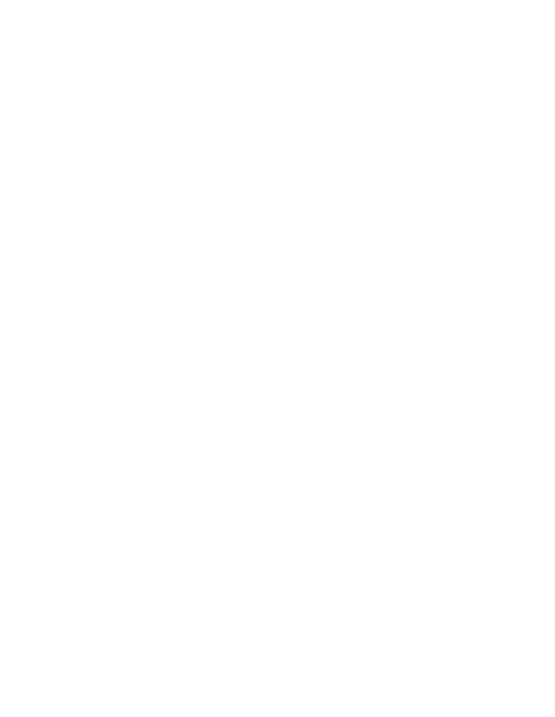regulatory disincentive to structuring an acquisition of securities as a tender offer, as compared to a statutory merger, to which the best-price rule does not apply.<sup>7</sup> We received 11 comment letters on the proposed amendments.<sup>8</sup> In general, commenters supported our proposed changes to the tender offer best-price rule and believed that the proposed changes, if adopted, would meet our objectives. We did, however, receive a number of comments with regard to specific aspects of the proposed changes. The changes we adopt today are, in most respects, consistent with those proposed on December 16, 2005, but include certain revisions made in response to concerns raised by commenters.

The amendments to the best-price rule will change the language of the rule to clarify that the provisions of the rule apply only with respect to the consideration offered and paid for securities tendered in a tender offer. The amendments are premised on our view that the best-price rule was never intended to apply to consideration paid pursuant to arrangements, including employment compensation, severance or other employee benefit arrangements, entered into with security holders of the subject company, so long as the consideration paid pursuant to such arrangements was not to acquire their securities.<sup>9</sup> Accordingly, the amendments provide that consideration offered and paid according to employment compensation, severance or other employee benefit arrangements entered into with security holders of the subject company of a tender offer, where the

 $\overline{7}$ Statutory mergers are also known as "long-form" or unitary mergers, the requirements of which are governed generally by applicable state law.

<sup>8</sup> The public comments we received are available for inspection in our Public Reference Room at 100 F Street, NE, Washington DC, 20549 in File No. S7-11-05, or may be viewed at http://www.sec.gov/rules/proposed/s71105.shtml.

<sup>9</sup> See the definition of "subject company" at Exchange Act Rule  $14d-1(g)(7)$  (17 CFR 240.14d-1(g)(7)).

 $\overline{3}$